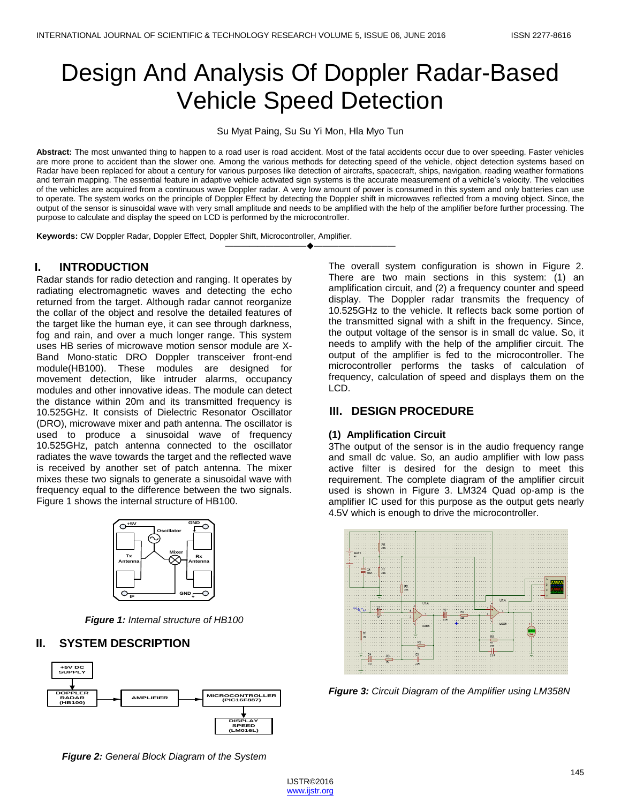# Design And Analysis Of Doppler Radar-Based Vehicle Speed Detection

Su Myat Paing, Su Su Yi Mon, Hla Myo Tun

Abstract: The most unwanted thing to happen to a road user is road accident. Most of the fatal accidents occur due to over speeding. Faster vehicles are more prone to accident than the slower one. Among the various methods for detecting speed of the vehicle, object detection systems based on Radar have been replaced for about a century for various purposes like detection of aircrafts, spacecraft, ships, navigation, reading weather formations and terrain mapping. The essential feature in adaptive vehicle activated sign systems is the accurate measurement of a vehicle's velocity. The velocities of the vehicles are acquired from a continuous wave Doppler radar. A very low amount of power is consumed in this system and only batteries can use to operate. The system works on the principle of Doppler Effect by detecting the Doppler shift in microwaves reflected from a moving object. Since, the output of the sensor is sinusoidal wave with very small amplitude and needs to be amplified with the help of the amplifier before further processing. The purpose to calculate and display the speed on LCD is performed by the microcontroller.

————————————————————

**Keywords:** CW Doppler Radar, Doppler Effect, Doppler Shift, Microcontroller, Amplifier.

## **I. INTRODUCTION**

Radar stands for radio detection and ranging. It operates by radiating electromagnetic waves and detecting the echo returned from the target. Although radar cannot reorganize the collar of the object and resolve the detailed features of the target like the human eye, it can see through darkness, fog and rain, and over a much longer range. This system uses HB series of microwave motion sensor module are X-Band Mono-static DRO Doppler transceiver front-end module(HB100). These modules are designed for movement detection, like intruder alarms, occupancy modules and other innovative ideas. The module can detect the distance within 20m and its transmitted frequency is 10.525GHz. It consists of Dielectric Resonator Oscillator (DRO), microwave mixer and path antenna. The oscillator is used to produce a sinusoidal wave of frequency 10.525GHz, patch antenna connected to the oscillator radiates the wave towards the target and the reflected wave is received by another set of patch antenna. The mixer mixes these two signals to generate a sinusoidal wave with frequency equal to the difference between the two signals. Figure 1 shows the internal structure of HB100.



*Figure 1: Internal structure of HB100*

## **II. SYSTEM DESCRIPTION**



*Figure 2: General Block Diagram of the System*

The overall system configuration is shown in Figure 2. There are two main sections in this system: (1) an amplification circuit, and (2) a frequency counter and speed display. The Doppler radar transmits the frequency of 10.525GHz to the vehicle. It reflects back some portion of the transmitted signal with a shift in the frequency. Since, the output voltage of the sensor is in small dc value. So, it needs to amplify with the help of the amplifier circuit. The output of the amplifier is fed to the microcontroller. The microcontroller performs the tasks of calculation of frequency, calculation of speed and displays them on the LCD.

## **III. DESIGN PROCEDURE**

#### **(1) Amplification Circuit**

3The output of the sensor is in the audio frequency range and small dc value. So, an audio amplifier with low pass active filter is desired for the design to meet this requirement. The complete diagram of the amplifier circuit used is shown in Figure 3. LM324 Quad op-amp is the amplifier IC used for this purpose as the output gets nearly 4.5V which is enough to drive the microcontroller.



*Figure 3: Circuit Diagram of the Amplifier using LM358N*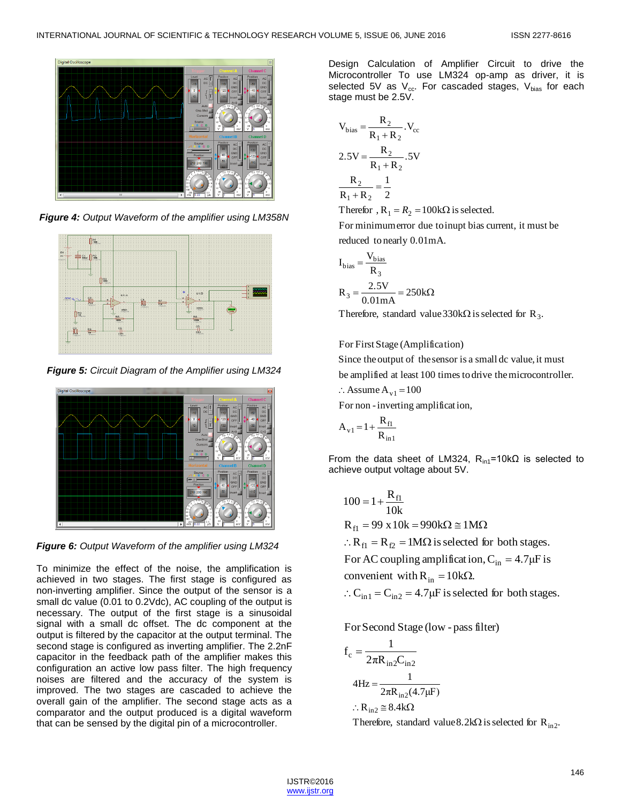

*Figure 4: Output Waveform of the amplifier using LM358N*



*Figure 5: Circuit Diagram of the Amplifier using LM324*



*Figure 6: Output Waveform of the amplifier using LM324*

To minimize the effect of the noise, the amplification is achieved in two stages. The first stage is configured as non-inverting amplifier. Since the output of the sensor is a small dc value (0.01 to 0.2Vdc), AC coupling of the output is necessary. The output of the first stage is a sinusoidal signal with a small dc offset. The dc component at the output is filtered by the capacitor at the output terminal. The second stage is configured as inverting amplifier. The 2.2nF capacitor in the feedback path of the amplifier makes this configuration an active low pass filter. The high frequency noises are filtered and the accuracy of the system is improved. The two stages are cascaded to achieve the overall gain of the amplifier. The second stage acts as a comparator and the output produced is a digital waveform that can be sensed by the digital pin of a microcontroller.

Design Calculation of Amplifier Circuit to drive the Microcontroller To use LM324 op-amp as driver, it is selected 5V as  $V_{cc}$ . For cascaded stages,  $V_{bias}$  for each stage must be 2.5V.

$$
V_{bias} = \frac{R_2}{R_1 + R_2} \cdot V_{cc}
$$
  
2.5V =  $\frac{R_2}{R_1 + R_2} \cdot 5V$   
 $\frac{R_2}{R_1 + R_2} = \frac{1}{2}$ 

Therefor,  $R_1 = R_2 = 100 \text{k}\Omega$  is selected.

reduced to nearly 0.01mA. For minimumerror due toinupt bias current, it must be

$$
I_{bias} = \frac{V_{bias}}{R_3}
$$

$$
R_3 = \frac{2.5V}{0.01mA} = 250k\Omega
$$

Therefore, standard value 330k $\Omega$  is selected for R<sub>3</sub>.

## For First Stage (Amplification)

be amplified at least 100 times todrive themicrocontroller. Since the output of the sensor is a small dc value, it must

$$
\therefore \text{Assume A}_{v1} = 100
$$

For non -inverting amplificat ion,

$$
A_{v1} = 1 + \frac{R_{f1}}{R_{in1}}
$$

From the data sheet of LM324,  $R_{\text{in1}}$ =10k $\Omega$  is selected to achieve output voltage about 5V.

$$
100 = 1 + \frac{R_{f1}}{10k}
$$
  
R<sub>f1</sub> = 99 x 10k = 990kΩ ≅ 1MΩ  
∴ R<sub>f1</sub> = R<sub>f2</sub> = 1MΩ is selected for both stages.  
For AC coupling amplification, C<sub>in</sub> = 4.7μF is  
convenient with R<sub>in</sub> = 10kΩ.  
∴ C<sub>in1</sub> = C<sub>in2</sub> = 4.7μF is selected for both stages.

For Second Stage (low - pass filter)

$$
f_c = \frac{1}{2\pi R_{in2}C_{in2}}
$$
  
\n
$$
4Hz = \frac{1}{2\pi R_{in2}(4.7\mu F)}
$$
  
\n
$$
\therefore R_{in2} \cong 8.4k\Omega
$$

Therefore, standard value 8.2k $\Omega$  is selected for  $R_{in2}$ .

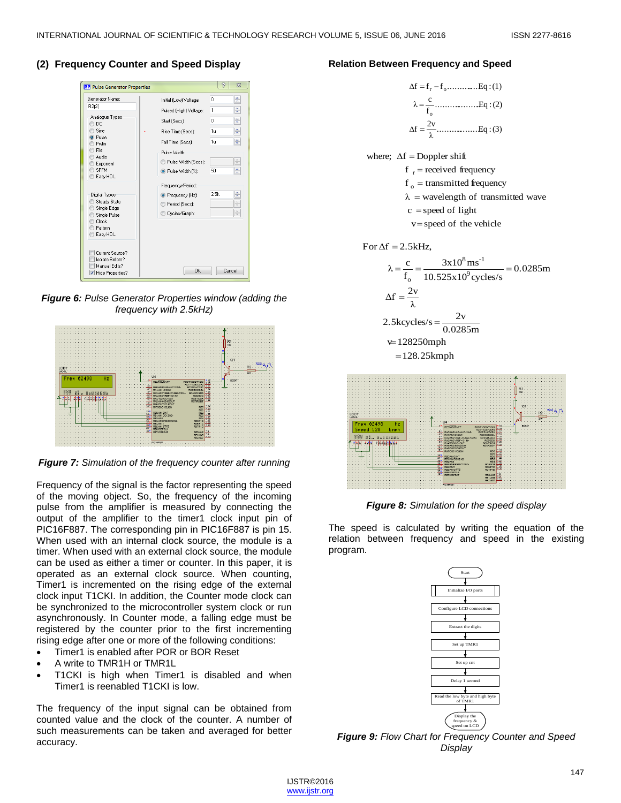### **(2) Frequency Counter and Speed Display**

| <b>EE</b> Pulse Generator Properties                                                                                                                            |                          | P<br>$\Sigma$                   |
|-----------------------------------------------------------------------------------------------------------------------------------------------------------------|--------------------------|---------------------------------|
| Generator Name:                                                                                                                                                 | Initial (Low) Voltage:   | ÷<br>0                          |
| R2(2)<br>Analogue Types<br>DC<br>Sine<br>Pulse<br>Pwlin<br>File<br>Audio<br>Exponent<br><b>SFFM</b><br>Easy HDL<br>Digital Types<br>Steady State<br>Single Edge | Pulsed (High) Voltage:   | ÷<br>1                          |
|                                                                                                                                                                 | Start (Secs):            | ÷<br>n                          |
|                                                                                                                                                                 | Rise Time (Secs):        | ÷<br>Ťш                         |
|                                                                                                                                                                 | Fall Time (Secs):        | ÷<br>1u                         |
|                                                                                                                                                                 | Pulse Width:             |                                 |
|                                                                                                                                                                 | Pulse Width (Secs):      | $\frac{\mathbb{A}}{\mathbb{V}}$ |
|                                                                                                                                                                 | O Pulse Width [%]:       | ÷<br>50                         |
|                                                                                                                                                                 | Frequency/Period:        |                                 |
|                                                                                                                                                                 | <b>O</b> Frequency (Hz): | $\div$<br>2.5k                  |
|                                                                                                                                                                 | Period (Secs):           | $\frac{\Delta}{\Psi}$           |
| Single Pulse<br>Clock                                                                                                                                           | Cycles/Graph:            | $\frac{\mathbb{A}}{\mathbb{Y}}$ |
| Pattern                                                                                                                                                         |                          |                                 |
| Easy HDL                                                                                                                                                        |                          |                                 |
| Current Source?<br>Isolate Before?<br>Manual Edits?<br>V Hide Properties?                                                                                       | OK                       | Cancel                          |

*Figure 6: Pulse Generator Properties window (adding the frequency with 2.5kHz)*



*Figure 7: Simulation of the frequency counter after running*

Frequency of the signal is the factor representing the speed of the moving object. So, the frequency of the incoming pulse from the amplifier is measured by connecting the output of the amplifier to the timer1 clock input pin of PIC16F887. The corresponding pin in PIC16F887 is pin 15. When used with an internal clock source, the module is a timer. When used with an external clock source, the module can be used as either a timer or counter. In this paper, it is operated as an external clock source. When counting, Timer1 is incremented on the rising edge of the external clock input T1CKI. In addition, the Counter mode clock can be synchronized to the microcontroller system clock or run asynchronously. In Counter mode, a falling edge must be registered by the counter prior to the first incrementing rising edge after one or more of the following conditions:

- Timer1 is enabled after POR or BOR Reset
- A write to TMR1H or TMR1L
- T1CKI is high when Timer1 is disabled and when Timer1 is reenabled T1CKI is low.

The frequency of the input signal can be obtained from counted value and the clock of the counter. A number of such measurements can be taken and averaged for better accuracy.

#### **Relation Between Frequency and Speed**

....................Eq :(3) λ 2v <sup>f</sup> .....................Eq :(2) f c λ f f f ...............Eq :(1) o r o 







*Figure 8: Simulation for the speed display*

The speed is calculated by writing the equation of the relation between frequency and speed in the existing program.



*Figure 9: Flow Chart for Frequency Counter and Speed Display*